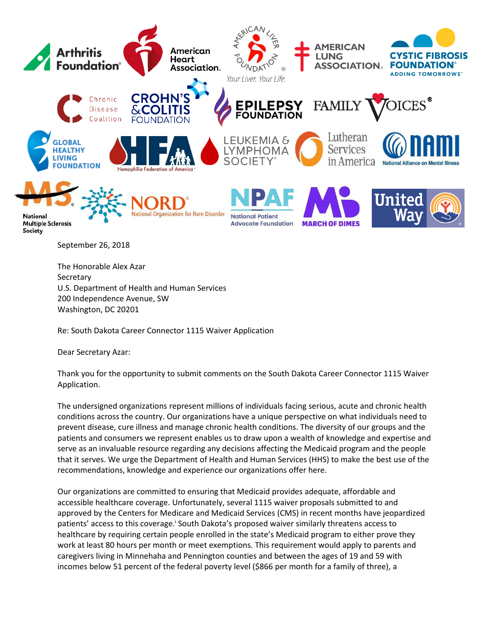

September 26, 2018

The Honorable Alex Azar **Secretary** U.S. Department of Health and Human Services 200 Independence Avenue, SW Washington, DC 20201

Re: South Dakota Career Connector 1115 Waiver Application

Dear Secretary Azar:

Thank you for the opportunity to submit comments on the South Dakota Career Connector 1115 Waiver Application.

The undersigned organizations represent millions of individuals facing serious, acute and chronic health conditions across the country. Our organizations have a unique perspective on what individuals need to prevent disease, cure illness and manage chronic health conditions. The diversity of our groups and the patients and consumers we represent enables us to draw upon a wealth of knowledge and expertise and serve as an invaluable resource regarding any decisions affecting the Medicaid program and the people that it serves. We urge the Department of Health and Human Services (HHS) to make the best use of the recommendations, knowledge and experience our organizations offer here.

Our organizations are committed to ensuring that Medicaid provides adequate, affordable and accessible healthcare coverage. Unfortunately, several 1115 waiver proposals submitted to and approved by the Centers for Medicare and Medicaid Services (CMS) in recent months have jeopardized patients' access to this coverage.<sup>i</sup> South Dakota's proposed waiver similarly threatens access to healthcare by requiring certain people enrolled in the state's Medicaid program to either prove they work at least 80 hours per month or meet exemptions. This requirement would apply to parents and caregivers living in Minnehaha and Pennington counties and between the ages of 19 and 59 with incomes below 51 percent of the federal poverty level (\$866 per month for a family of three), a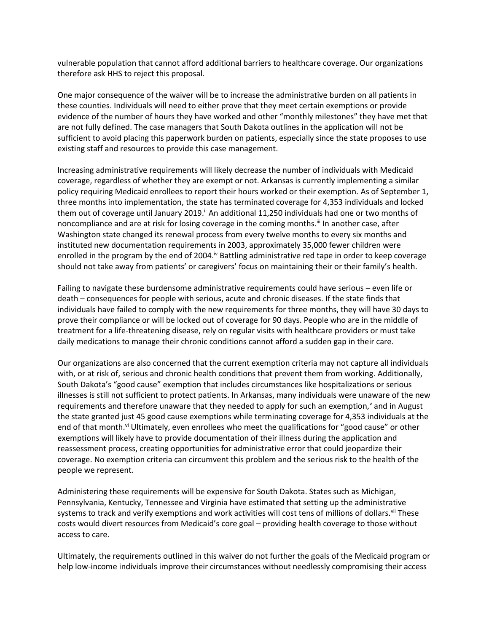vulnerable population that cannot afford additional barriers to healthcare coverage. Our organizations therefore ask HHS to reject this proposal.

One major consequence of the waiver will be to increase the administrative burden on all patients in these counties. Individuals will need to either prove that they meet certain exemptions or provide evidence of the number of hours they have worked and other "monthly milestones" they have met that are not fully defined. The case managers that South Dakota outlines in the application will not be sufficient to avoid placing this paperwork burden on patients, especially since the state proposes to use existing staff and resources to provide this case management.

Increasing administrative requirements will likely decrease the number of individuals with Medicaid coverage, regardless of whether they are exempt or not. Arkansas is currently implementing a similar policy requiring Medicaid enrollees to report their hours worked or their exemption. As of September 1, three months into implementation, the state has terminated coverage for 4,353 individuals and locked them out of coverage until January 2019.<sup>ii</sup> An additional 11,250 individuals had one or two months of noncompliance and are at risk for losing coverage in the coming months.<sup>ii</sup> In another case, after Washington state changed its renewal process from every twelve months to every six months and instituted new documentation requirements in 2003, approximately 35,000 fewer children were enrolled in the program by the end of 2004.<sup>iv</sup> Battling administrative red tape in order to keep coverage should not take away from patients' or caregivers' focus on maintaining their or their family's health.

Failing to navigate these burdensome administrative requirements could have serious – even life or death – consequences for people with serious, acute and chronic diseases. If the state finds that individuals have failed to comply with the new requirements for three months, they will have 30 days to prove their compliance or will be locked out of coverage for 90 days. People who are in the middle of treatment for a life-threatening disease, rely on regular visits with healthcare providers or must take daily medications to manage their chronic conditions cannot afford a sudden gap in their care.

Our organizations are also concerned that the current exemption criteria may not capture all individuals with, or at risk of, serious and chronic health conditions that prevent them from working. Additionally, South Dakota's "good cause" exemption that includes circumstances like hospitalizations or serious illnesses is still not sufficient to protect patients. In Arkansas, many individuals were unaware of the new requirements and therefore unaware that they needed to apply for such an exemption,<sup>v</sup> and in August the state granted just 45 good cause exemptions while terminating coverage for 4,353 individuals at the end of that month.<sup>vi</sup> Ultimately, even enrollees who meet the qualifications for "good cause" or other exemptions will likely have to provide documentation of their illness during the application and reassessment process, creating opportunities for administrative error that could jeopardize their coverage. No exemption criteria can circumvent this problem and the serious risk to the health of the people we represent.

Administering these requirements will be expensive for South Dakota. States such as Michigan, Pennsylvania, Kentucky, Tennessee and Virginia have estimated that setting up the administrative systems to track and verify exemptions and work activities will cost tens of millions of dollars.<sup>vii</sup> These costs would divert resources from Medicaid's core goal – providing health coverage to those without access to care.

Ultimately, the requirements outlined in this waiver do not further the goals of the Medicaid program or help low-income individuals improve their circumstances without needlessly compromising their access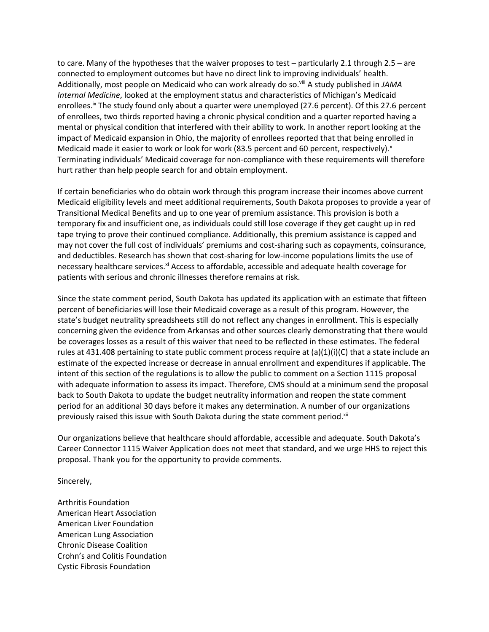to care. Many of the hypotheses that the waiver proposes to test – particularly 2.1 through 2.5 – are connected to employment outcomes but have no direct link to improving individuals' health. Additionally, most people on Medicaid who can work already do so.viii A study published in *JAMA Internal Medicine*, looked at the employment status and characteristics of Michigan's Medicaid enrollees.<sup>ix</sup> The study found only about a quarter were unemployed (27.6 percent). Of this 27.6 percent of enrollees, two thirds reported having a chronic physical condition and a quarter reported having a mental or physical condition that interfered with their ability to work. In another report looking at the impact of Medicaid expansion in Ohio, the majority of enrollees reported that that being enrolled in Medicaid made it easier to work or look for work (83.5 percent and 60 percent, respectively). $^{x}$ Terminating individuals' Medicaid coverage for non-compliance with these requirements will therefore hurt rather than help people search for and obtain employment.

If certain beneficiaries who do obtain work through this program increase their incomes above current Medicaid eligibility levels and meet additional requirements, South Dakota proposes to provide a year of Transitional Medical Benefits and up to one year of premium assistance. This provision is both a temporary fix and insufficient one, as individuals could still lose coverage if they get caught up in red tape trying to prove their continued compliance. Additionally, this premium assistance is capped and may not cover the full cost of individuals' premiums and cost-sharing such as copayments, coinsurance, and deductibles. Research has shown that cost-sharing for low-income populations limits the use of necessary healthcare services.<sup>xi</sup> Access to affordable, accessible and adequate health coverage for patients with serious and chronic illnesses therefore remains at risk.

Since the state comment period, South Dakota has updated its application with an estimate that fifteen percent of beneficiaries will lose their Medicaid coverage as a result of this program. However, the state's budget neutrality spreadsheets still do not reflect any changes in enrollment. This is especially concerning given the evidence from Arkansas and other sources clearly demonstrating that there would be coverages losses as a result of this waiver that need to be reflected in these estimates. The federal rules at 431.408 pertaining to state public comment process require at (a)(1)(i)(C) that a state include an estimate of the expected increase or decrease in annual enrollment and expenditures if applicable. The intent of this section of the regulations is to allow the public to comment on a Section 1115 proposal with adequate information to assess its impact. Therefore, CMS should at a minimum send the proposal back to South Dakota to update the budget neutrality information and reopen the state comment period for an additional 30 days before it makes any determination. A number of our organizations previously raised this issue with South Dakota during the state comment period.<sup>xii</sup>

Our organizations believe that healthcare should affordable, accessible and adequate. South Dakota's Career Connector 1115 Waiver Application does not meet that standard, and we urge HHS to reject this proposal. Thank you for the opportunity to provide comments.

Sincerely,

Arthritis Foundation American Heart Association American Liver Foundation American Lung Association Chronic Disease Coalition Crohn's and Colitis Foundation Cystic Fibrosis Foundation